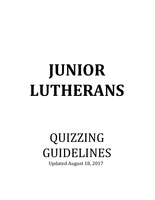# **JUNIOR LUTHERANS**

# QUIZZING GUIDELINES

Updated August 18, 2017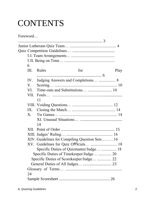## CONTENTS

Foreword… ................................................................................... 3 Junior Lutherans Quiz Team… .............................................. 4 Quiz Competition Guidelines… .......................................... 5 I. Team Arrangements… ........................................... 5 II. Being on Time… .................................................. 6 III. Rules for Play ................................................................ 6 IV. Judging Answers and Completions… ................. 8 V. Scoring… .............................................................. 10 VI. Time-outs and Substitutions… ........................ 10 VII. Fouls… ..................................................................... 11 VIII. Voiding Questions… ........................................ 12 IX. Closing the Match… ........................................... 14 X. Tie Games… ......................................................... 14 XI. Unusual Situations… .......................................... 14 XII. Point of Order ..................................................... 15 XIII. Judges' Ruling… .............................................. 16 XIV. Guidelines for Compiling Question Sets………16 XV. Guidelines for Quiz Officials… .......................... 18 Specific Duties of Quizmaster/Judge… ............... 18 Specific Duties of Timekeeper/Judge… ............. 20 Specific Duties of Scorekeeper/Judge… .............. 22 General Duties of All Judges… ............................ 23 Glossary of Terms… ........................................................ 24 Sample Scoresheet .................................................. 26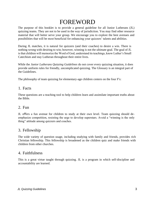## FOREWORD

The purpose of this booklet is to provide a general guideline for all Junior Lutherans (JL) quizzing teams. They are not to be used in the way of jurisdiction. You may find other resource material that will better serve your group. We encourage you to explore the best avenues and possibilities that will be most beneficial for enhancing your quizzers' talents and abilities.

During JL matches, it is natural for quizzers (and their coaches) to desire a win. There is nothing wrong with desiring to win; however, winning is not the ultimate goal. The goal of JL is that children will memorize the Word of God, understand its teachings, know Luther's Small Catechism and stay Lutheran throughout their entire lives.

While the *Junior Lutherans Quizzing Guidelines* do not cover every quizzing situation, it does provide uniform rules for friendly, uncomplicated quizzing. The Glossary is an integral part of the Guidelines.

The philosophy of team quizzing for elementary-age children centers on the four F's:

#### 1. Facts

These questions are a teaching tool to help children learn and assimilate important truths about the Bible.

#### 2. Fun

JL offers a fun avenue for children to study at their own level. Team quizzing should deemphasize competition, resisting the urge to develop superstars. Avoid a "winning is the only thing" attitude among quizzers and coaches.

#### 3. Fellowship

The wide variety of question usage, including studying with family and friends, provides rich Christian fellowship. This fellowship is broadened as the children quiz and make friends with children from other churches.

#### 4. Faithfulness

This is a great virtue taught through quizzing. JL is a program in which self-discipline and accountability are learned.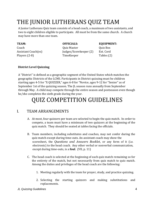## THE JUNIOR LUTHERANS QUIZ TEAM

A Junior Lutherans Quiz team consists of a head coach, a maximum of two assistants, and two to eight children eligible to participate. All must be from the same church. A church may have more than one team.

Coach Quiz Master Quiz Box Assistant Coach(es) Judges/Scorekeeper (2) Ext. Cord Players (2-8) TimeKeeper Tables (2)

#### **TEAM: OFFICIALS: EQUIPMENT:**

#### **District Level Quizzing**

A "District" is defined as a geographic segment of the United States which matches the geographic Districts of the LCMS. Participants in District quizzing must be children starting ages 4-5 for "X QUIZZER," ages 6-8 for "Novice, ages 9-12 for "Senior" as of September 1st of the quizzing season. The JL season runs annually from September through May. A child may compete through the entire season and postseason even though he/she completes the sixth grade during the year.

## QUIZ COMPETITION GUIDELINES

#### I. TEAM ARRANGEMENTS

- A. At most, four quizzers per team are selected to begin the quiz match. In order to compete, a team must have a minimum of two quizzers at the beginning of the quiz match. They should be seated at tables facing the officials.
- B. Team members, including substitutes and coaches, may not confer during the quiz match except during time-outs. An assistant coach may show the scoresheet, the *Questions and Answers Booklet,* or any form of it (i.e. electronic) to the head coach. Any other verbal or nonverbal communication, except during time-outs, is a **foul**. (VII, p. 11)
- C. The head coach is selected at the beginning of each quiz match remaining so for the entirety of the match, but not necessarily from quiz match to quiz match. Among the duties and privileges of the head coach are the following:
	- 1. Meeting regularly with the team for prayer, study, and practice quizzing.
	- 2. Selecting the starting quizzers and making substitutions and replacements.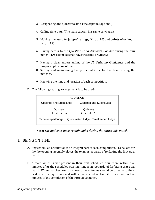- 3. Designating one quizzer to act as the captain. (optional)
- 4. Calling time-outs. (The team captain has same privilege.)
- 5. Making a request for **judges' rulings,** (XIII, p. 16) and **points of order,** (XII, p. 15)
- 6. Having access to the *Questions and Answers Booklet* during the quiz match. (Assistant coaches have the same privilege.)
- 7. Having a clear understanding of the *JL Quizzing Guidelines* and the proper application of them*.*
- 8. Setting and maintaining the proper attitude for the team during the matches.
- 9. Knowing the time and location of each competition.
- D. The following seating arrangement is to be used:

| <b>AUDIENCE</b>                                        |                             |                         |  |
|--------------------------------------------------------|-----------------------------|-------------------------|--|
| Coaches and Substitutes                                |                             | Coaches and Substitutes |  |
| Quizzers<br>4 3 2 1                                    | Quizzers<br>$1 \t2 \t3 \t4$ |                         |  |
| Quizmaster/Judge Timekeeper/Judge<br>Scorekeeper/Judge |                             |                         |  |

**Note:** *The audience must remain quiet during the entire quiz match.* 

#### II. BEING ON TIME

- A. Any scheduled orientation is an integral part of each competition. To be late for the the opening assembly places the team in jeopardy of forfeiting the first quiz match.
- B. A team which is not present in their first scheduled quiz room within five minutes after the scheduled starting time is in jeopardy of forfeiting that quiz match. When matches are run consecutively, teams should go directly to their next scheduled quiz area and will be considered on time if present within five minutes of the completion of their previous match.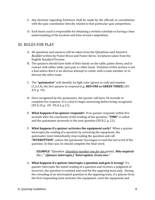- C. Any decision regarding forfeiture shall be made by the officials in consultation with the quiz coordinator directly related to that particular quiz competition.
- D. Each head coach is responsible for obtaining a written schedule or having a clear understanding of the location and time of each competition.

#### III. RULES FOR PLAY

- A. All questions and answers will be taken from the *Questions and Answers Booklet* written by Pastor Bruss and Pastor Kerns. Scriptures taken from the English Standard Version.
- B. The quizzers should have both of their hands on the table, palms down, and in contact with either table, quiz pad, or other hand. Violation of this section is not a foul unless there is an obvious attempt to confer with a team member or to distract the other team.
- C. The **"quizmaster"** will identify, by light color (green or red) and number (1,2,3,4), the first quizzer to respond (e.g. **RED ONE or GREEN THREE**) (XV. A.9, p. 19).
- D. Once recognized by the quizmaster, the quizzer will have 30 seconds to complete his response. It is a foul to begin answering before being recognized (XV.A.15,p. 20; VII.A.3, p.11).
- E. **What happens if no quizzer responds?** If no quizzer responds within five seconds after the conclusion of the reading of the question, **"TIME"** is called, and the quizmaster proceeds to the next question (XV.B.2, p. 21).
- F. **What happens if a quizzer activates the equipment early?** When a quizzer interrupts the reading of a question by activating the equipment, the quizmaster must immediately stop reading the question and call **"INTERUPTION",** unless the quizmaster has begun to read the last word of the question. In that case, he should complete the final word.

*EXAMPLE: "Question. Question number one for ten points. Who inspired the…" (Quizzer interrupts.) "Interruption. Green two."* 

G. **What happens if a quizzer interrupts a question and gets it wrong?** If a quizzer interrupts the initial reading of a question and receives a judgment of incorrect, the question is restated and read for the opposing team only. During the rereading of an interrupted question to the opposing team, if a quizzer from the first responding team activates the equipment, reset the equipment and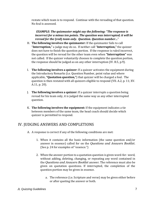restate which team is to respond. Continue with the rereading of that question. No foul is assessed.

*EXAMPLE: The quizmaster might say the following: "The response is incorrect for a minus ten points. The question was interrupted; it will be reread for the* **(red)** *team only. Question. Question number…*"

- H. **The following involves the quizmaster:** If the quizmaster fails to call "**Interruption,"** a judge may do so. If neither call "**Interruption,"** the quizzer does not have to finish the question portion. If the response is ruled incorrect, the question will be reread for the other team even when **"Interruption"** was not called. If the quizzer voluntarily chooses to complete the question portion, the response should be judged as on any other interruption (IV. B.5, p.9).
- I. **The following involves a quizzer:** If a quizzer activates the equipment during the Introductory Remarks (i.e. Question Number, point value and where applicable, **"Quotation question,"**) that quizzer will be charged a foul. The question is then restated with all quizzers eligible to respond (VII. A.2, p. 11; XV. A.11, p. 20).
- J. **The following involves a quizzer:** If a quizzer interrupts a question being reread for his team only, it is judged the same way as any other interrupted question.
- K. **The following involves the equipment:** If the equipment indicates a tie between members of the same team, the head coach should decide which quizzer is permitted to respond.

#### IV. JUDGING ANSWERS AND COMPLETIONS

- A. A response is correct if any of the following conditions are met:
	- 1. When it contains all the basic information (the same question and/or answer in essence) called for on the *Questions and Answers Booklet.*  (See p. 24 for examples of "essence.")
	- 2. When the answer portion to a quotation question is given word-for- word, without adding, deleting, changing, or repeating any word contained in the *Questions and Answers Booklet* answer. The reference must also be given on quotation questions. If interrupted, the completion of the question portion may be given in essence.
		- a. The reference (i.e. Scripture and verse) may be given either before or after quoting the answer or both.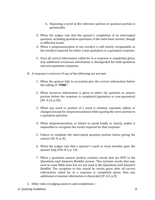- b. Repeating a word in the reference portion or question portion is permissible.
- 3. When the judges rule that the quizzer's completion of an interrupted question, including quotation questions, is the same basic answer, though in different words.
- 4. When a mispronunciation of any word(s) is still clearly recognizable as the word(s) required, for either a non-quotation or a quotation response.
- 5. Once all correct information called for in a response is completely given. Any additional erroneous information is disregarded for both quotation and non-quotation responses.
- B. A response is incorrect if any of the following are not met:
	- 1. When the quizzer fails to accurately give the correct information before the calling of "**TIME."**
	- 2. When incorrect information is given in either the question or answer portion before the response is completed (quotation or non-quotation) (XV. A.14, p.20).
	- 3. When any word or portion of a word is omitted, repeated, added, or changed (except for mispronunciation) while quoting the verse portion to a quotation question.
	- 4. When mispronunciation, or failure to speak loudly or clearly, makes it impossible to recognize the words required for that response.
	- 5. Failure to complete the interrupted question portion before giving the answer (III. H, p. 8).
	- 6. When the judges rule that a quizzer's coach or team member gave the quizzer help (VIII. B.3, p. 13).
	- 7. When a quotation answer portion contains words that are NOT in the *Questions and Answers Booklet* answer. This includes words that may exist in some Bible texts but are not used in the *Questions and Answers Booklet*. The exception to this would be words given after all correct information called for in a response is completely given; then any additional erroneous information is discarded (IV. A.5, p.9).
- C. Other rules in judging answers and completions—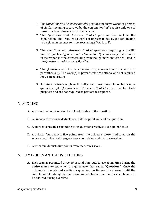- 1. The *Questions and Answers Booklet* portions that have words or phrases of similar meaning separated by the conjunction "or" require only one of those words or phrases to be ruled correct.
- 2. The *Questions and Answers Booklet* portions that include the conjunction "and" require all words or phrases joined by the conjunction to be given in essence for a correct ruling (IV.A.1, p. 8).
- 3. The *Questions and Answers Booklet* questions requiring a specific number (such as "give seven," or "name four") require only that number in the response for a correct ruling even though more choices are listed in the *Questions and Answers Booklet.*
- 4. The *Questions and Answers Booklet* may contain a word or words in parenthesis ( ). The word(s) in parenthesis are optional and not required for a correct ruling.
- 5. Scripture references given in italics and parentheses following a nonquotation-style *Questions and Answers Booklet* answer are for study purposes and are not required as part of the response.

#### V. SCORING

- A. A correct response scores the full point value of the question.
- B. An incorrect response deducts one-half the point value of the question.
- C. A quizzer correctly responding to six questions receives a ten-point bonus.
- D. A quizzer foul deducts five points from the quizzer's score, (indicated on the score sheet). The last 2 pages show a completed and blank scoresheet.
- E. A team foul deducts five points from the team's score.

#### VI. TIME-OUTS AND SUBSTITUTIONS

A. Each team is permitted three 30-second time-outs to use at any time during the entire match except when the quizmaster has called "**Question."** Once the quizmaster has started reading a question, no time-out is allowed until the completion of judging that question. An additional time-out for each team will be allowed during overtime.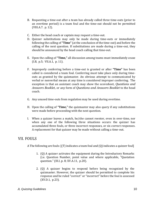- B. Requesting a time-out after a team has already called three time-outs (prior to an overtime period) is a team foul and the time-out should not be permitted (VIII.A.7. p. 12).
- C. Either the head coach or captain may request a time-out.
- D. Quizzer substitutions may only be made during time-outs or immediately following the calling of **"Time"** (at the conclusion of the time-out) and before the calling of the next question. If substitutions are made during a time-out, they should be announced by the head coach calling that time-out.
- E. Upon the calling of **"Time,"** all discussion among teams must immediately cease (I.B, p.5; VII.A.1, p. 11).
- F. Improperly conferring before a time-out is granted or after **"Time"** has been called is considered a team foul. Conferring must take place only during timeouts as granted by the quizmaster. An obvious attempt to communicated by verbal or nonverbal means at any time is considered improper conferring. The exception is that an assistant coach may show the scoresheet, *Questions and Answers Booklet,* or any form of *Questions and Answers Booklet* to the head coach.
- G. Any unused time-outs from regulation may be used during overtime.
- H. Upon the calling of **"Time,"** the quizmaster may also query if any substitutions were made before proceeding with the next question.
- I. When a quizzer leaves a match, he/she cannot reenter, even in over-time, nor when any one of the following three situations occurs: the quizzer has accumulated three fouls, or three incorrect responses, or six correct responses. A replacement for that quizzer may be made without calling a time-out.

#### VII. FOULS

A The following are fouls: [(T) indicates a team foul and (Q) indicates a quizzer foul]

- 1. (Q) A quizzer activates the equipment during the Introductory Remarks (i.e. Question Number, point value and where applicable, "Quotation question." (III.I, p. 8; XV.A.11, p.20).
- 2. (Q) A quizzer begins to respond before being recognized by the quizmaster. However, the quizzer should be permitted to complete his response and be ruled "correct" or "incorrect" before the foul is assessed (XV.D.1, p.23).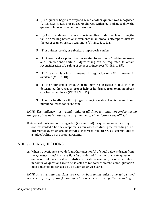- 3. (Q) A quizzer begins to respond when another quizzer was recognized (VIII.B.8.a,b, p. 13). This quizzer is charged with a foul and must allow the quizzer who was called upon to answer.
- 4. (Q) A quizzer demonstrates unsportsmanlike conduct such as hitting the table or making noises or movements in an obvious attempt to distract the other team or assist a teammate (VIII.B. 2,3, p. 13).
- 5. (T) A quizzer, coach, or substitute improperly confers.
- 6. (T) A coach calls a point of order related to section IV "Judging Answers and Completions." Only a judges' ruling can be requested to obtain reconsideration of a ruling of correct or incorrect (XII.B.6, p. 15).
- 7. (T) A team calls a fourth time-out in regulation or a fifth time-out in overtime (VI.B, p. 10).
- 8. (T) Help/Hindrance Foul. A team may be assessed a foul if it is determined there was improper help or hindrance from team members, coaches, or audience (VIII.B.2,3,p. 13).
- 9. (T) A coach calls for a third judges' ruling in a match. Two is the maximum number allowed for each team.

*NOTE: The audience must remain quiet at all times and may not confer during any part of the quiz match with any member of either team or the officials.* 

B. Assessed fouls are not disregarded (i.e. removed) if a question on which they occur is voided. The one exception is a foul assessed during the rereading of an interrupted question originally ruled "incorrect" but later ruled "correct" due to a judges' ruling on the original reading.

#### VIII. VOIDING QUESTIONS

A. When a question(s) is voided, another question(s) of equal value is drawn from the *Questions and Answers Booklet* or selected from the substitute questions on the official question sheet. Substitute questions need only be of equal value in points. All questions are to be selected at random; therefore, a non-quotation question could be replaced by a quotation or vice versa.

*NOTE: All substitute questions are read to both teams unless otherwise stated; however, if any of the following situations occur during the rereading or*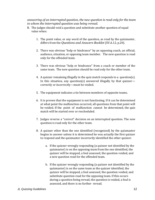*answering of an interrupted question, the new question is read only for the team to whom the interrupted question was being reread.* 

- B. The judges should void a question and substitute another question of equal value when:
	- 1. The point value, or any word of the question, as read by the quizmaster, differs from the *Questions and Answers Booklet* (XV.A.12, p.20).
	- 2. There was obvious "help or hindrance" by an opposing coach, an official, audience, situation, or opposing team member. The new question is read only for the offended team.
	- 3. There was obvious "help or hindrance" from a coach or member of the same team. The new question should be read only for the other team.
	- 4. A quizzer remaining illegally in the quiz match responds to a question(s). In this situation, any question(s) answered illegally by that quizzer correctly or incorrectly—must be voided.
	- 5. The equipment indicates a tie between members of opposite teams.
	- 6. It is proven that the equipment is not functioning. If it can be determined at what point the malfunction occurred, all questions from that point will be voided. If the point of malfunction cannot be determined, the quiz match will be started over or rescheduled.
	- 7. Judges reverse a "correct" decision on an interrupted question. The new question is read only for the other team.
	- 8. A quizzer other than the one identified (recognized) by the quizmaster begins to answer unless it is determined he was actually the first quizzer to respond and the quizmaster incorrectly identified the other quizzer.
		- a. If the quizzer wrongly responding (a quizzer not identified by the quizmaster) is on the opposing team from the one identified, the quizzer will be stopped, a foul assessed, the question voided, and a new question read for the offended team.
		- b. If the quizzer wrongly responding (a quizzer not identified by the quizmaster) is on the same team as the quizzer identified, the quizzer will be stopped, a foul assessed, the question voided, and substitute question read for the opposing team. If this occurs during a question being reread, the question is voided, a foul is assessed, and there is no further reread.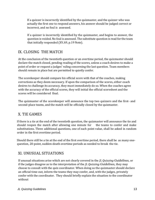If a quizzer is incorrectly identified by the quizmaster, and the quizzer who was actually the first one to respond answers, his answer should be judged correct or incorrect, and no foul is assessed.

If a quizzer is incorrectly identified by the quizmaster, and begins to answer, the question is voided. No foul is assessed. The substitute question is read for the team that initially responded (XV.A9, p.19 Note).

### IX. CLOSING THE MATCH

At the conclusion of the twentieth question or an overtime period, the quizmaster should declare the match closed, pending reading of the scores, unless a coach desires to make a point of order or request a judges' ruling concerning the last question. Team members should remain in place but are permitted to quietly confer.

The scorekeeper should compare his official score with that of the coaches, making corrections as they deem necessary. If upon the comparison of the scores, either coach desires to challenge its accuracy, they must immediately do so. When the coaches agree with the accuracy of the official scores, they will initial the official scoresheet and the scores will be considered final.

The quizmaster of the scorekeeper will announce the top two quizzers and the first- and second-place teams, and the match will be officially closed by the quizmaster.

#### X. TIE GAMES

If there is a tie at the end of the twentieth question, the quizmaster will announce the tie and should reopen the match after allowing one minute for the teams to confer and make substitutions. Three additional questions, one of each point value, shall be asked in random order in the first overtime period.

Should there still be a tie at the end of the first overtime period, there shall be as many onequestion, 20-point, sudden-death overtime periods as needed to break the tie.

### XI. UNUSUAL SITUATIONS

If unusual situations arise which are not clearly covered in the *JL Quizzing Guidelines,* or if the judges disagree as to the interpretation of the *JL Quizzing Guidelines,* they may choose to consult with the quiz coordinator. When doing so the quizmaster should declare an official time-out, inform the teams they may confer, and, with the judges, privately confer with the coordinator. They should briefly explain the situation to the coordinator without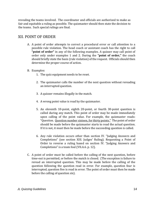revealing the teams involved. The coordinator and officials are authorized to make as fair and equitable a ruling as possible. The quizmaster should then state the decision to the teams. Such special rulings are final.

#### XII. POINT OF ORDER

- A. A point of order attempts to correct a procedural error or call attention to a possible rule violation. The head coach or assistant coach has the right to call **"point of order"** in any of the following examples. A quizzer may call point of order only under examples 1 and 2. During the **"point of order,"** the coach should briefly state the basis (rule violation) of the request. Officials should then determine the proper course of action.
- B. Examples:
	- 1. The quiz equipment needs to be reset.
	- 2. The quizmaster calls the number of the next question without rereading an interrupted question.
	- 3. A quizzer remains illegally in the match.
	- 4. A wrong point value is read by the quizmaster.
	- 5. An eleventh 10-point, eighth 20-point, or fourth 30-point question is called during any match. This point of order may be made immediately upon calling of the point value. For example, the quizmaster reads: "Question. Question number sixteen, for thirty points." The point of order should be made before the quizmaster starts to read the actual question. If it is not, it must then be made before the succeeding question is called.
	- 6. Any rule violation occurs other than section IV. "Judging Answers and Completions" (see section XIII. Judges' Ruling). Requesting a Point of Order to reverse a ruling based on section IV. "Judging Answers and Completions" is a team foul (VII.A.6. p. 12).
- C. A point of order must be called before the calling of the next question, before time-out is permitted, or before the match is closed. (The exception is failure to reread an interrupted question. This may be made before the calling of the question following the question read in error. For example, question four is interrupted, question five is read in error. The point of order must then be made before the calling of question six).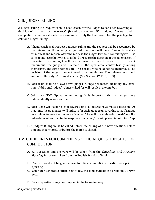#### XIII. JUDGES' RULING

A judges' ruling is a request from a head coach for the judges to consider reversing a decision of 'correct' or 'incorrect' (based on section IV. "Judging Answers and Completions) that has already been announced. Only the head coach has the privilege to call for a judges' ruling.

- A. A head coach shall request a judges' ruling and the request will be recognized by the quizmaster. Upon being recognized, the coach will have 30 seconds to state his request and reason. After the request, the judges (without conferring) will use coins to indicate their votes to uphold or revere the decision of the quizmaster. If the vote is unanimous, it will be announced by the quizmaster. If it is not unanimous, the judges will remain in the quiz area, confer briefly among themselves, and cast another vote. This second vote need not be unanimous. The decision of the judges does not need to be unanimous. The quizmaster should announce the judges' ruling decision. (See Section XV. D. 2, p. 23)
- B. Each team shall be allowed two judges' rulings per match including any overtime. Additional judges' rulings called for will result in a team foul.
- C. Coins are NOT flipped when voting. It is important that all judges vote independently of one another.
- D. Each judge will keep his coin covered until all judges have made a decision. At that time, the quizmaster will indicate for each judge to uncover his coin. If a judge determines to vote the response "correct," he will place his coin "heads" up. If a judge determines to vote the response "incorrect," he will place his coin "tails" up.
- E. A Judges' Ruling must be called before the calling of the next question, before timeout is permitted, or before the match is closed.

#### XIV. GUIDELINES FOR COMPLILING OFFICIAL QUESTION SETS FOR **COMPETITION**

- A. All questions and answers will be taken from the *Questions and Answers Booklet*; Scriptures taken from the English Standard Version.
- B. Teams should not be given access to official competition question sets prior to quizzing.
- C. Computer-generated official sets follow the same guidelines as randomly drawn sets.
- D. Sets of questions may be compiled in the following way: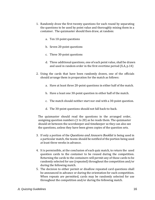- 1. Randomly draw the first twenty questions for each round by separating the questions to be used by point value and thoroughly mixing them in a container. The quizmaster should then draw, at random:
	- a. Ten 10-point questions
	- b. Seven 20-point questions
	- c. Three 30-point questions
	- d. Three additional questions, one of each point value, shall be drawn and used in random order in the first overtime period (X.A, p.14)
- 2. Using the cards that have been randomly drawn, one of the officials should arrange them in preparation for the match as follows:
	- a. Have at least three 20-point questions in either half of the match.
	- b. Have a least one 30-point question in either half of the match.
	- c. The match should neither start nor end with a 30-point question.
	- d. The 30-point questions should not fall back-to-back.

The quizmaster should read the questions in the arranged order, assigning question numbers (1 to 20) as he reads them. The quizmaster should sit between the scorekeeper and timekeeper so they can also see the questions, unless they have been given copies of the question sets.

- 3. If only a portion of the *Questions and Answers Booklet* is being used in a particular match, the teams should be notified of the portion being used at least three weeks in advance.
- 4. It is permissible, at the conclusion of each quiz match, to return the used question cards to the container to be reused during the competition. Returning the cards to the containers will permit any of those cards to be randomly selected for use (repeated) throughout the competition and/or during the following match.
- 5. The decision to either permit or disallow repeated card questions shall be announced in advance or during the orientation for each competition. When repeats are permitted, cards may be randomly selected for use throughout the competition and/or during the following match.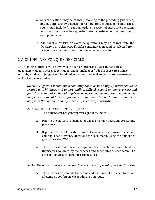- 6. Sets of questions may be drawn (according to the preceding guidelines) and put into sets by a neutral person before the quizzing begins. These sets should include (in random order) a section of substitute questions and a section of overtime questions, each consisting of one question of each point value.
- 7. Additional substitute or overtime questions may be drawn from the *Questions and Answers Booklet* container as needed or selected from previous or extra matches on computer-generated sets.

#### XV. GUIDELINES FOR QUIZ OFFICIALS

The following officials will be involved in a Junior Lutherans Quiz competition: a quizmaster/judge, a scorekeeper/judge, and a timekeeper/judge. If there are sufficient officials, a judge (or judges) will be added and either the timekeeper and/or scorekeeper will not serve as a judge.

*NOTE: All officials should avoid sounding harsh or uncaring. Quizzers should be treated with kindness and understanding. Officials should announce errors and fouls in a calm voice. Should a quizzer be overcome by emotion, the quizmaster may call an official time-out for the team in need. The coach may communicate only with that quizzer and my make any necessary substitution.* 

#### A. SPECIFIC DUTIES OF QUIZMASTER/JUDGE

- 1. The quizmaster has general oversight of the match.
- 2. Prior to the match, the quizmaster will answer any questions concerning procedure.
- 3. If prepared sets of questions are not available, the quizmaster should compile a set of twenty questions for each match using the guidelines given in section XIV.
- 4. The quizmaster will have each quizzer test their buzzer and introduce themselves, followed by the coaches and substitutes of each team. The officials should also introduce themselves.

*NOTE: The quizmaster is encouraged to check the equipment after Question #10.* 

5. The quizmaster reminds the teams and audience of the need for quiet, allowing no conferring except during time-outs.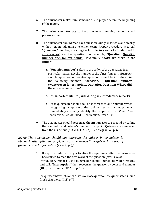- 6. The quizmaster makes sure someone offers prayer before the beginning of the match.
- 7. The quizmaster attempts to keep the match running smoothly and pressure-free.
- 8. The quizmaster should read each question loudly, distinctly, and clearly, without giving advantage to either team. Proper procedure is to call **"Question,"** then begin reading the introductory remarks (underlined in all examples) and the question. For example, **"Question. Question number one, for ten points. How many books are there in the Bible?"** 
	- a. **"Question number"** refers to the order of the questions in a particular match, not the number of the *Questions and Answers Booklet* question. A quotation question should be introduced in the following manner: **"Question. Question number twentyseven for ten points. Quotation Question: Where did**  the universe come from?"
	- b. It is important NOT to pause during any introductory remarks.
	- c. If the quizmaster should call an incorrect color or number when recognizing a quizzer, the quizmaster or a judge may immediately correctly identify the proper quizzer ("Red 1 correction, Red 2)" "Red1—correction, Green 1)".
- 9. The quizmaster should recognize the first quizzer to respond by calling the team color and quizzer's number (III.C, p. 7). Quizzers are numbered from the inside out (4-3-2-1, 1-2-3-4). See diagram on p. 6.

*NOTE: The quizmaster should not interrupt the quizzer if the quizzer is obviously attempting to complete an answer—even if the quizzer has already given incorrect information (IV.B.2, p.9).* 

> 10. If a quizzer interrupts by activating the equipment after the quizmaster has started to read the first word of the question (exclusive of introductory remarks), the quizmaster should immediately stop reading and call, **"Interruption"** then recognize the quizzer by color and number (III.F, p.7, example; XV.A.9, p. 19).

If a quizzer interrupts on the last word of a question, the quizmaster should finish that word (III.F, p.7)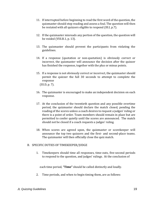- 11. If interrupted before beginning to read the first word of the question, the quizmaster should stop reading and assess a foul. The question will then be restated with all quizzers eligible to respond (III.I, p.7).
- 12. If the quizmaster misreads any portion of the question, the question will be voided (VIII.B.1, p. 13).
- 13. The quizmaster should prevent the participants from violating the guidelines.
- 14. If a response (quotation or non-quotation) is obviously correct or incorrect, the quizmaster will announce the decision after the quizzer has finished the response, together with the plus or minus points.
- 15. If a response is not obviously correct or incorrect, the quizmaster should permit the quizzer the full 30 seconds to attempt to complete the response (III.D, p. 7).
- 16. The quizmaster is encouraged to make an independent decision on each response.
- 17. At the conclusion of the twentieth question and any possible overtime period, the quizmaster should declare the match closed, pending the reading of the scores unless a coach desires to request a judges' ruling or there is a point of order. Team members should remain in place but are permitted to confer quietly until the scores are announced. The match should not be closed if a coach requests a judges' ruling.
- 18. When scores are agreed upon, the quizmaster or scorekeeper will announce the top two quizzers and the first- and second-place teams. The quizmaster will then officially close the quiz match.

#### B. SPECIFIC DUTIES OF TIMEKEEPER/JUDGE

1. Timekeepers should time all responses, time-outs, five-second periods to respond to the question, and judges' rulings. At the conclusion of

each time period, **"Time"** should be called distinctly and loudly.

2. Time periods, and when to begin timing them, are as follows: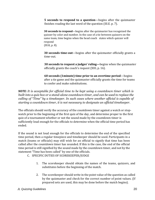**5 seconds to respond to a question**—begins after the quizmaster finishes reading the last word of the question (III.E. p. 7).

**30 seconds to respond**—begins after the quizmaster has recognized the quizzer by color and number. In the case of a tie between quizzers on the same team, time begins when the head coach states which quizzer will respond (III.K, p. 8).

**30 seconds time-out**—begins after the quizmaster officially grants a time-out.

**30 seconds to request a judges' ruling—**begins when the quizmaster officially grants the coach's request (XIII, p. 16).

**60 seconds (1minute) time prior to an overtime period**—begins after a tie game and the quizmaster officially grants the time for teams to confer and make substitutions.

*NOTE: It is acceptable for official time to be kept using a countdown timer which is built into a quiz box or a stand-alone countdown timer, and can be used to replace the calling of "Time" by a timekeeper. In such cases where another official is capable of starting a countdown timer, it is not necessary to designate an official timekeeper.* 

The officials should verify the accuracy of the countdown timer against a watch or stopwatch prior to the beginning of the first quiz of the day, and determine proper to the first quiz of a tournament whether or not the sound made by the countdown timer is sufficiently loud enough for the officials to determine when the official time period has ended.

If the sound is not loud enough for the officials to determine the end of the specified time period, then a regular timepiece and timekeeper should be used. Participants in a match (teams or officials) may still wish for an official to signify that time has been called after the countdown timer has sounded. If this is the case, the end of the official time period is still signified by the sound made by the countdown timer, and not by the statement "Time has been called" by one of the officials.

- C. SPECIFIC DUTIES OF SCOREKEEPER/JUDGE
	- 1. The scorekeeper should obtain the names of the teams, quizzers, and substitutes before the beginning of the match.
	- 2. The scorekeeper should write in the point value of the question as called by the quizmaster and check for the correct number of point values. (If prepared sets are used, this may be done before the match begins).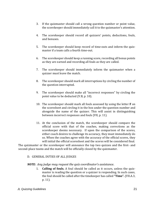- 3. If the quizmaster should call a wrong question number or point value, the scorekeeper should immediately call it to the quizmaster's attention.
- 4. The scorekeeper should record all quizzers' points, deductions, fouls, and bonuses.
- 5. The scorekeeper should keep record of time-outs and inform the quizmaster if a team calls a fourth time-out.
- 6. The scorekeeper should keep a running score, recording all bonus points as they are earned and recording all fouls as they are called.
- 7. The scorekeeper should immediately inform the quizmaster when a quizzer must leave the match.
- 8. The scorekeeper should mark all interruptions by circling the number of the question interrupted.
- 9. The scorekeeper should make all "incorrect responses" by circling the point value to be deducted (V.B, p. 10).
- 10. The scorekeeper should mark all fouls assessed by using the letter **F** on the scoresheet and circling it in the box under the question number and alongside the name of the quizzer. This will assist in distinguishing between incorrect responses and fouls (VII, p. 11).
- 11. At the conclusion of the match, the scorekeeper should compare the official score with that of the coaches, making corrections as the scorekeeper deems necessary. If upon the comparison of the scores, either coach desires to challenge its accuracy, they must immediately do so. When the coaches agree with the accuracy of the official scores, they will initial the official scoresheet and the scores will be considered final.

The quizmaster or the scorekeeper will announce the top two quizzes and the first- and second-place teams and the match will be officially closed by the quizmaster.

#### D. GENERAL DUTIES OF ALL JUDGES

#### *NOTE: Any judge may request the quiz coordinator's assistance.*

1. **Calling of fouls.** A foul should be called as it occurs, unless the quizmaster is reading the question or a quizzer is responding. In such cases, the foul should be called after the timekeeper has called **"Time".** (VII.A.3, p. 11).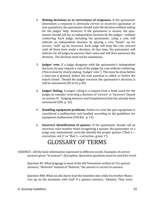- 2. **Making decisions as to correctness of responses.** If the quizmaster determines a response is obviously correct or incorrect (quotation or non-quotation), the quizmaster should state the decision without asking for the judges' help. However, if the quizmaster is unsure, the quizmaster should call for an independent decision by the judges—without conferring. Each judge, including the quizmaster, using a coin, will indicate an independent decision by placing a coin "heads" up for correct, "tails" up for incorrect. Each judge will keep the coin covered until all three have made a decision. At that time, the quizmaster will indicate for all judges to uncover their coins and will then announce the decision. The decision need not be unanimous.
- 3. **Judges' vote.** If a judge disagrees with the quizmaster's independent decision, he may request a vote of the judges by coin without conferring. (This is done by clearly stating, "Judges' vote.") This must be done before a time-out is granted, before the next question is called, or before the match closed. Should the judges overturn the quizmaster's decision, it will be announced (XV.A.14, p.20).
- 4. **Judges' Ruling.** A judges' ruling is a request from a head coach for the judges to consider reversing a decision of 'correct' or 'incorrect' (based on section IV. "Judging Answers and Completions) that has already been announced (XIII, p. 16).
- 5. **Handling equipment problems.** Failure to reset the quiz equipment is considered a malfunction and handled according to the guidelines for equipment malfunction (VIII.B.6, p. 13).
- 6. **Incorrect identification of quizzer.** If the quizmaster should call an incorrect color number when recognizing a quizzer, the quizmaster or a judge may immediately correctly identify the proper quizzer ("Red 1 correction, red 2" or "Red 1—correction, green 1").

## GLOSSARY OF TERMS

ESSENCE—All the basic information expressed in different words. Examples of correct answers given "in essence": (Exception: Quotation questions must be word for word.

Question #6. What language is most of the Old Testament written in? If a quizzer answers, "Hebrews" instead of "Hebrew," the answer is correct in essence.

Question #80. What sin did Aaron lead the Israelites into while his brother Moses was up on the mountain with God? If a quizzer answers, "Idolatry. They were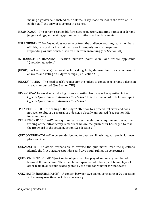making a golden calf" instead of, "Idolatry. They made an idol in the form of a golden calf," the answer is correct in essence.

- HEAD COACH—The person responsible for selecting quizzers, initiating points of order and judges' rulings, and making quizzer substitutions and replacements
- HELP/HINDRANCE—Any obvious occurrence from the audience, coaches, team members, officials, or any situation that unduly or improperly assists the quizzer in responding, or sufficiently distracts him from answering (See Section VII)
- INTRODUCTORY REMARKS—Question number, point value, and where applicable "Quotation question."
- JUDGE(S)—The official(s) responsible for calling fouls, determining the correctness of answers, and voting on judges' rulings (See Section XIII)
- JUDGES' RULING—The head coach's request for the judges to consider reversing a decision already announced (See Section XIII)
- KEYWORD—The word which distinguishes a question from any other question in the *Official Questions and Answers Excel Sheet.* It is the final word in boldface type in *Official Questions and Answers Excel Sheet*
- POINT OF ORDER—The calling of the judges' attention to a procedural error and does not seek to obtain a reversal of a decision already announced (See section XII, for examples.)
- PRE-RESPONSE FOUL—When a quizzer activates the electronic equipment during the reading of the introductory remarks or before the quizmaster has begun to read the first word of the actual question (See Section VII)
- QUIZ COORDINATOR—The person designated to oversee all quizzing at a particular level, place, or time
- QUIZMASTER—The official responsible to oversee the quiz match, read the questions, identify the first quizzer responding, and give initial rulings on correctness
- QUIZ COMPETITION [MEET]—A series of quiz matches played among any number of teams at the same time. These can be set up as round robins (each team plays all other teams), or as rounds designated by the quiz coordinator for that event
- QUIZ MATCH [ROUND, MATCH]—A contest between two teams, consisting of 20 questions and as many overtime periods as necessary